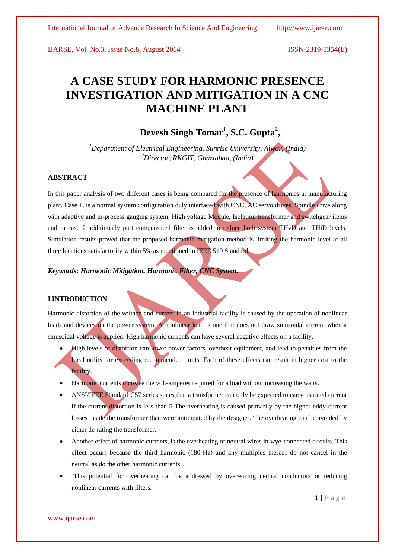# **A CASE STUDY FOR HARMONIC PRESENCE INVESTIGATION AND MITIGATION IN A CNC MACHINE PLANT**

# **Devesh Singh Tomar<sup>1</sup> , S.C. Gupta<sup>2</sup> ,**

*<sup>1</sup>Department of Electrical Engineering, Sunrise University, Alwar, (India) <sup>2</sup>Director, RKGIT, Ghaziabad, (India)*

# **ABSTRACT**

In this paper analysis of two different cases is being compared for the presence of harmonics at manufacturing plant. Case 1, is a normal system configuration duly interfaced with CNC, AC servo drives, Spindle drive along with adaptive and in-process gauging system, High voltage Module, Isolation transformer and switchgear items and in case 2 additionally part compensated filter is added to reduce both system THvD and THiD levels. Simulation results proved that the proposed harmonic mitigation method is limiting the harmonic level at all three locations satisfactorily within 5% as mentioned in IEEE 519 Standard.

# *Keywords: Harmonic Mitigation, Harmonic Filter, CNC System.*

### **I INTRODUCTION**

Harmonic distortion of the voltage and current in an industrial facility is caused by the operation of nonlinear loads and devices on the power system. A nonlinear load is one that does not draw sinusoidal current when a sinusoidal voltage is applied. High harmonic currents can have several negative effects on a facility.

- High levels of distortion can lower power factors, overheat equipment, and lead to penalties from the local utility for exceeding recommended limits. Each of these effects can result in higher cost to the facility.
- Harmonic currents increase the volt-amperes required for a load without increasing the watts.
- ANSI/IEEE Standard C57 series states that a transformer can only be expected to carry its rated current if the current distortion is less than 5 The overheating is caused primarily by the higher eddy-current losses inside the transformer than were anticipated by the designer. The overheating can be avoided by either de-rating the transformer.
- Another effect of harmonic currents, is the overheating of neutral wires in wye-connected circuits. This effect occurs because the third harmonic (180-Hz) and any multiples thereof do not cancel in the neutral as do the other harmonic currents.
- This potential for overheating can be addressed by over-sizing neutral conductors or reducing nonlinear currents with filters.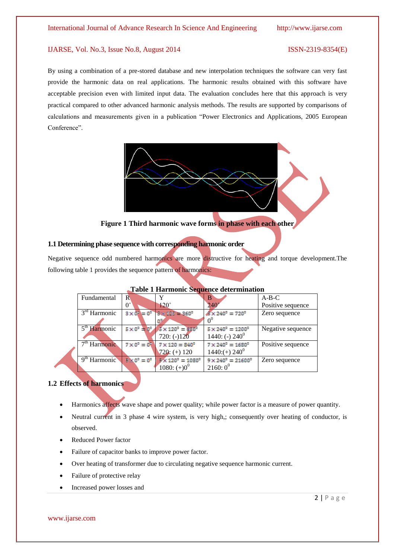By using a combination of a pre-stored database and new interpolation techniques the software can very fast provide the harmonic data on real applications. The harmonic results obtained with this software have acceptable precision even with limited input data. The evaluation concludes here that this approach is very practical compared to other advanced harmonic analysis methods. The results are supported by comparisons of calculations and measurements given in a publication ["Power Electronics and Applications, 2005 European](http://ieeexplore.ieee.org/xpl/mostRecentIssue.jsp?punumber=11048)  [Conference".](http://ieeexplore.ieee.org/xpl/mostRecentIssue.jsp?punumber=11048) 



**Figure 1 Third harmonic wave forms in phase with each other**

# **1.1 Determining phase sequence with corresponding harmonic order**

Negative sequence odd numbered harmonics are more distructive for heating and torque development.The following table 1 provides the sequence pattern of harmonics:

| Fundamental                          | $\mathbb{R}$                              |                                                                    | B                                      | $A-B-C$           |
|--------------------------------------|-------------------------------------------|--------------------------------------------------------------------|----------------------------------------|-------------------|
|                                      |                                           |                                                                    |                                        |                   |
|                                      | $0^{\circ}$                               | $120^\circ$                                                        | $240^{\circ}$                          | Positive sequence |
| $\overline{3}^{\text{rd}}$ Harmonic  | $3 \times 0^4 = 0^6$                      | $3 \times 120 = 360^{\circ}$                                       | $8 \times 240^{\circ} = 720^{\circ}$   | Zero sequence     |
|                                      |                                           |                                                                    | 0 <sup>6</sup>                         |                   |
| 5 <sup>th</sup> Harmonic             |                                           | $5 \times 0^{\circ}$ + $0^{\circ}$ / $5 \times 120^{\circ}$ = 600° | $5 \times 240^{\circ} = 1200^{\circ}$  | Negative sequence |
|                                      |                                           | $720: (-120)$                                                      | 1440: (-) $240^0$                      |                   |
| 7 <sup>th</sup> Harmonic             |                                           | $7 \times 0^{\circ} = 0$ $7 \times 120 = 840^{\circ}$              | $7 \times 240^{\circ} = 1680^{\circ}$  | Positive sequence |
|                                      |                                           | $720: (+) 120$                                                     | $1440: (+) 240^0$                      |                   |
| $\mathbf{Q}^{\text{th}}$<br>Harmonic | $\mathbb{R} \times 0^{\circ} = 0^{\circ}$ | $9 \times 120^{\circ} = 1080^{\circ}$                              | $9 \times 240^{\circ} = 21600^{\circ}$ | Zero sequence     |
|                                      |                                           | $1080: (+)00$                                                      | $2160:0^0$                             |                   |

# **Table 1 Harmonic Sequence determination**

# **1.2 Effects of harmonics**

- Harmonics affects wave shape and power quality; while power factor is a measure of power quantity.
- Neutral current in 3 phase 4 wire system, is very high,; consequently over heating of conductor, is observed.
- Reduced Power factor
- Failure of capacitor banks to improve power factor.
- Over heating of transformer due to circulating negative sequence harmonic current.
- Failure of protective relay
- Increased power losses and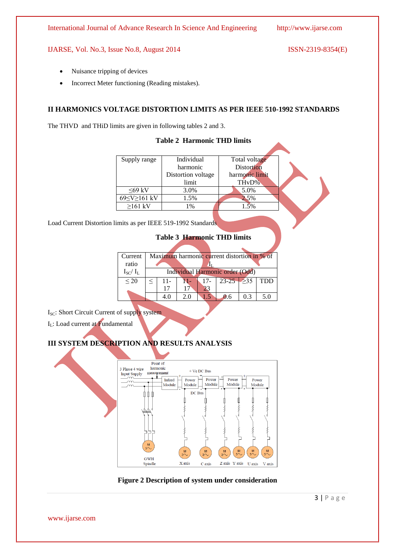- Nuisance tripping of devices
- Incorrect Meter functioning (Reading mistakes).

# **II HARMONICS VOLTAGE DISTORTION LIMITS AS PER IEEE 510-1992 STANDARDS**

The THVD and THiD limits are given in following tables 2 and 3.

| Supply range | Individual         | Total voltage      |  |
|--------------|--------------------|--------------------|--|
|              | harmonic           | <b>Distortion</b>  |  |
|              | Distortion voltage | harmonic limit     |  |
|              | limit              | TH <sub>v</sub> D% |  |
| $<69$ kV     | 3.0%               | 5.0%               |  |
| 69≤V≥161 kV  | 1.5%               | 2.5%               |  |
| $>161$ kV    | 1%                 |                    |  |

**Table 2 Harmonic THD limits**

Load Current Distortion limits as per IEEE 519-1992 Standards

|  | Table 3 Harmonic THD limits |  |  |
|--|-----------------------------|--|--|
|--|-----------------------------|--|--|

| Current      | Maximum harmonic current distortion in % of |     |    |        |                     |     |            |
|--------------|---------------------------------------------|-----|----|--------|---------------------|-----|------------|
| ratio        |                                             |     |    |        |                     |     |            |
| $I_{SC}/I_L$ | Individual Harmonic order (Odd)             |     |    |        |                     |     |            |
| $\leq$ 20    |                                             | 11- |    | $17 -$ | $23 - 25$ $\geq 35$ |     | <b>TDD</b> |
|              |                                             |     |    |        |                     |     |            |
|              |                                             | 4.0 | 20 |        | 0.6                 | 0.3 | 5.0        |
|              |                                             |     |    |        |                     |     |            |

I<sub>SC</sub>: Short Circuit Current of supply system

 $I_I$ : Load current at Fundamental

# **III SYSTEM DESCRIPTION AND RESULTS ANALYSIS**



**Figure 2 Description of system under consideration**

 $3 | P \text{age}$ 

www.ijarse.com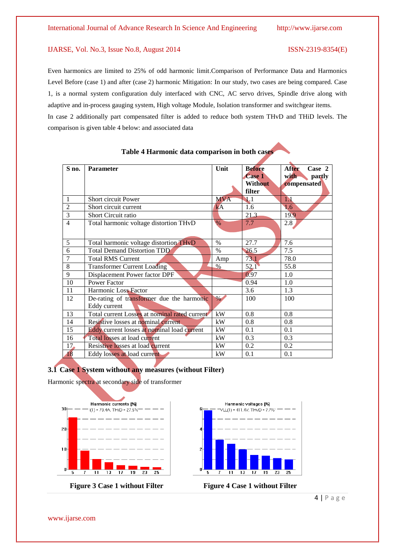Even harmonics are limited to 25% of odd harmonic limit.Comparison of Performance Data and Harmonics Level Before (case 1) and after (case 2) harmonic Mitigation: In our study, two cases are being compared. Case 1, is a normal system configuration duly interfaced with CNC, AC servo drives, Spindle drive along with adaptive and in-process gauging system, High voltage Module, Isolation transformer and switchgear items. In case 2 additionally part compensated filter is added to reduce both system THvD and THiD levels. The comparison is given table 4 below: and associated data

| S no.          | <b>Parameter</b>                              | Unit          | <b>Before</b>  | <b>After</b><br>Case 2 |
|----------------|-----------------------------------------------|---------------|----------------|------------------------|
|                |                                               |               | <b>Case 1</b>  | partly<br>with-        |
|                |                                               |               | <b>Without</b> | compensated            |
|                |                                               |               | filter         |                        |
| $\mathbf{1}$   | Short circuit Power                           | <b>MVA</b>    | $\mathbf{1.1}$ | 1.1                    |
| $\overline{c}$ | Short circuit current                         | kA            | 1.6            | 1.6                    |
| $\overline{3}$ | Short Circuit ratio                           |               | 21.3           | 19.9                   |
| $\overline{4}$ | Total harmonic voltage distortion THvD        | $\frac{0}{6}$ | 7.7            | 2.8                    |
|                |                                               |               |                |                        |
| 5              | Total harmonic voltage distortion THvD        | $\%$          | 27.7           | 7.6                    |
| 6              | <b>Total Demand Distortion TDD</b>            | $\%$          | 26.5           | 7.5                    |
| $\overline{7}$ | <b>Total RMS Current</b>                      | Amp           | 73.1           | 78.0                   |
| 8              | <b>Transformer Current Loading</b>            | $\%$          | 52.1           | 55.8                   |
| 9              | Displacement Power factor DPF                 |               | 0.97           | 1.0                    |
| 10             | <b>Power Factor</b>                           |               | 0.94           | 1.0                    |
| 11             | Harmonic Loss Factor                          |               | 3.6            | 1.3                    |
| 12             | De-rating of transformer due the harmonic     | $\%$          | 100            | 100                    |
|                | Eddy current                                  |               |                |                        |
| 13             | Total current Losses at nominal rated current | kW            | 0.8            | 0.8                    |
| 14             | Resistive losses at nominal current           | kW            | 0.8            | 0.8                    |
| 15             | Eddy current losses at nominal load current   | kW            | 0.1            | 0.1                    |
| 16             | Total losses at load current                  | kW            | 0.3            | 0.3                    |
| 17.            | Resistive losses at load current              | kW            | 0.2            | 0.2                    |
| 18             | Eddy losses at load current                   | kW            | 0.1            | 0.1                    |

# **3.1 Case 1 System without any measures (without Filter)**

 $\mathsf I$ 

Harmonic spectra at secondary side of transformer





**Figure 3** Case 1 without Filter Figure 4 Case 1 without Filter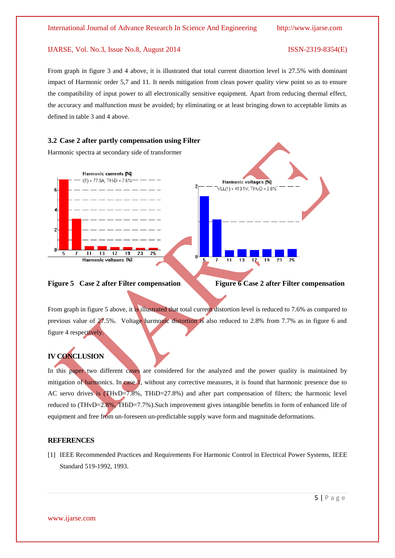From graph in figure 3 and 4 above, it is illustrated that total current distortion level is 27.5% with dominant impact of Harmonic order 5,7 and 11. It needs mitigation from clean power quality view point so as to ensure the compatibility of input power to all electronically sensitive equipment. Apart from reducing thermal effect, the accuracy and malfunction must be avoided; by eliminating or at least bringing down to acceptable limits as defined in table 3 and 4 above.



Harmonic spectra at secondary side of transformer



**Figure 5** Case 2 after Filter compensation Figure 6 Case 2 after Filter compensation

From graph in figure 5 above, it is illustrated that total current distortion level is reduced to 7.6% as compared to previous value of 27.5%. Voltage harmonic distortion is also reduced to 2.8% from 7.7% as in figure 6 and figure 4 respectively.

# **IV CONCLUSION**

In this paper two different cases are considered for the analyzed and the power quality is maintained by mitigation of harmonics. In case 1, without any corrective measures, it is found that harmonic presence due to AC servo drives is (THvD=7.8%, THiD=27.8%) and after part compensation of filters; the harmonic level reduced to (THvD=2.8%, THiD=7.7%).Such improvement gives intangible benefits in form of enhanced life of equipment and free from un-foreseen un-predictable supply wave form and magnitude deformations.

## **REFERENCES**

[1] IEEE Recommended Practices and Requirements For Harmonic Control in Electrical Power Systems, IEEE Standard 519-1992, 1993.